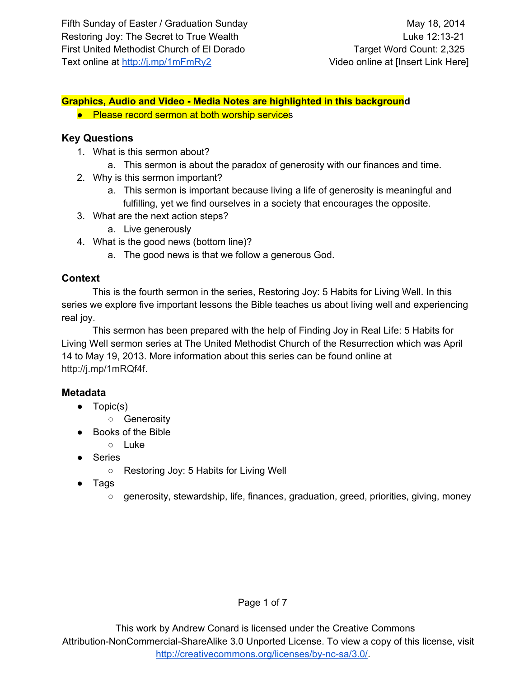## **Graphics, Audio and Video Media Notes are highlighted in this background**

● Please record sermon at both worship services

#### **Key Questions**

- 1. What is this sermon about?
	- a. This sermon is about the paradox of generosity with our finances and time.
- 2. Why is this sermon important?
	- a. This sermon is important because living a life of generosity is meaningful and fulfilling, yet we find ourselves in a society that encourages the opposite.
- 3. What are the next action steps?
	- a. Live generously
- 4. What is the good news (bottom line)?
	- a. The good news is that we follow a generous God.

## **Context**

This is the fourth sermon in the series, Restoring Joy: 5 Habits for Living Well. In this series we explore five important lessons the Bible teaches us about living well and experiencing real joy.

This sermon has been prepared with the help of Finding Joy in Real Life: 5 Habits for Living Well sermon series at The United Methodist Church of the Resurrection which was April 14 to May 19, 2013. More information about this series can be found online at [http://j.mp/1mRQf4f.](http://www.google.com/url?q=http%3A%2F%2Fj.mp%2F1mRQf4f&sa=D&sntz=1&usg=AFQjCNFRU1l67JqGR49mHE3tYAOxA4EMTA)

## **Metadata**

- Topic(s)
	- Generosity
- Books of the Bible
	- Luke
- Series
	- Restoring Joy: 5 Habits for Living Well
- Tags
	- generosity, stewardship, life, finances, graduation, greed, priorities, giving, money

## Page 1 of 7

This work by Andrew Conard is licensed under the Creative Commons Attribution-NonCommercial-ShareAlike 3.0 Unported License. To view a copy of this license, visit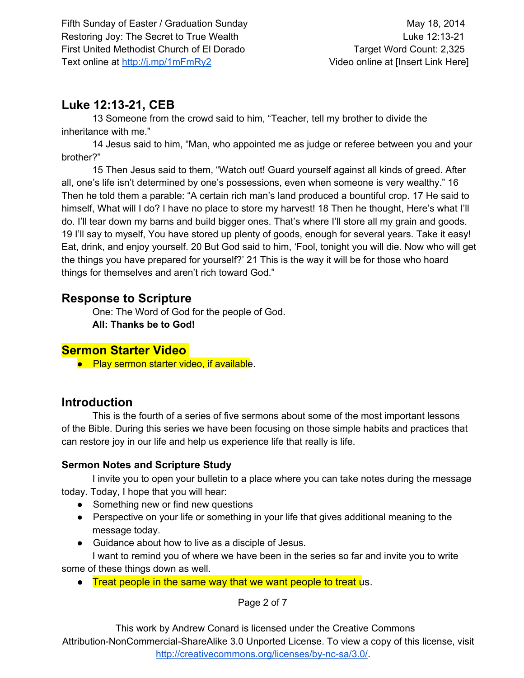# **Luke 12:1321, CEB**

13 Someone from the crowd said to him, "Teacher, tell my brother to divide the inheritance with me."

14 Jesus said to him, "Man, who appointed me as judge or referee between you and your brother?"

15 Then Jesus said to them, "Watch out! Guard yourself against all kinds of greed. After all, one's life isn't determined by one's possessions, even when someone is very wealthy." 16 Then he told them a parable: "A certain rich man's land produced a bountiful crop. 17 He said to himself, What will I do? I have no place to store my harvest! 18 Then he thought, Here's what I'll do. I'll tear down my barns and build bigger ones. That's where I'll store all my grain and goods. 19 I'll say to myself, You have stored up plenty of goods, enough for several years. Take it easy! Eat, drink, and enjoy yourself. 20 But God said to him, 'Fool, tonight you will die. Now who will get the things you have prepared for yourself?' 21 This is the way it will be for those who hoard things for themselves and aren't rich toward God."

# **Response to Scripture**

One: The Word of God for the people of God. **All: Thanks be to God!**

# **Sermon Starter Video**

● Play sermon starter video, if available.

# **Introduction**

This is the fourth of a series of five sermons about some of the most important lessons of the Bible. During this series we have been focusing on those simple habits and practices that can restore joy in our life and help us experience life that really is life.

# **Sermon Notes and Scripture Study**

I invite you to open your bulletin to a place where you can take notes during the message today. Today, I hope that you will hear:

- Something new or find new questions
- Perspective on your life or something in your life that gives additional meaning to the message today.
- Guidance about how to live as a disciple of Jesus.

I want to remind you of where we have been in the series so far and invite you to write some of these things down as well.

• Treat people in the same way that we want people to treat us.

Page 2 of 7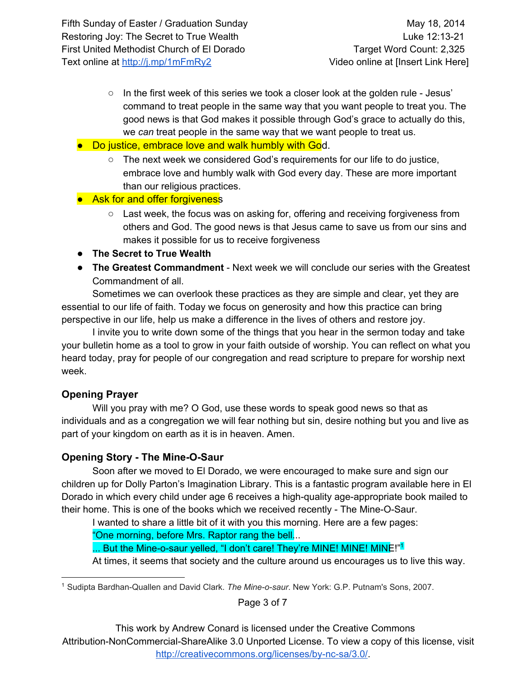- $\circ$  In the first week of this series we took a closer look at the golden rule Jesus' command to treat people in the same way that you want people to treat you. The good news is that God makes it possible through God's grace to actually do this, we *can* treat people in the same way that we want people to treat us.
- Do justice, embrace love and walk humbly with God.
	- The next week we considered God's requirements for our life to do justice, embrace love and humbly walk with God every day. These are more important than our religious practices.
- Ask for and offer forgiveness
	- $\circ$  Last week, the focus was on asking for, offering and receiving forgiveness from others and God. The good news is that Jesus came to save us from our sins and makes it possible for us to receive forgiveness
- **The Secret to True Wealth**
- **The Greatest Commandment** Next week we will conclude our series with the Greatest Commandment of all.

Sometimes we can overlook these practices as they are simple and clear, yet they are essential to our life of faith. Today we focus on generosity and how this practice can bring perspective in our life, help us make a difference in the lives of others and restore joy.

I invite you to write down some of the things that you hear in the sermon today and take your bulletin home as a tool to grow in your faith outside of worship. You can reflect on what you heard today, pray for people of our congregation and read scripture to prepare for worship next week.

## **Opening Prayer**

Will you pray with me? O God, use these words to speak good news so that as individuals and as a congregation we will fear nothing but sin, desire nothing but you and live as part of your kingdom on earth as it is in heaven. Amen.

# **Opening Story - The Mine-O-Saur**

Soon after we moved to El Dorado, we were encouraged to make sure and sign our children up for Dolly Parton's Imagination Library. This is a fantastic program available here in El Dorado in which every child under age 6 receives a high-quality age-appropriate book mailed to their home. This is one of the books which we received recently - The Mine-O-Saur.

I wanted to share a little bit of it with you this morning. Here are a few pages:

"One morning, before Mrs. Raptor rang the bell...

... But the Mine-o-saur yelled, "I don't care! They're MINE! MINE! MINE!"<sup>1</sup>

At times, it seems that society and the culture around us encourages us to live this way.

<sup>1</sup> Sudipta Bardhan-Quallen and David Clark. *The Mine-o-saur*. New York: G.P. Putnam's Sons, 2007.

Page 3 of 7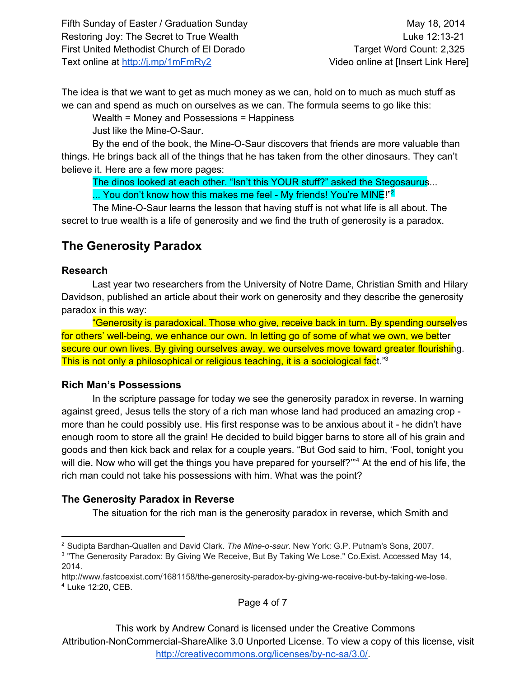The idea is that we want to get as much money as we can, hold on to much as much stuff as we can and spend as much on ourselves as we can. The formula seems to go like this:

Wealth = Money and Possessions = Happiness

Just like the Mine-O-Saur.

By the end of the book, the Mine-O-Saur discovers that friends are more valuable than things. He brings back all of the things that he has taken from the other dinosaurs. They can't believe it. Here are a few more pages:

The dinos looked at each other. "Isn't this YOUR stuff?" asked the Stegosaurus... ... You don't know how this makes me feel - My friends! You're MINE!"<sup>2</sup>

The Mine-O-Saur learns the lesson that having stuff is not what life is all about. The secret to true wealth is a life of generosity and we find the truth of generosity is a paradox.

# **The Generosity Paradox**

#### **Research**

Last year two researchers from the University of Notre Dame, Christian Smith and Hilary Davidson, published an article about their work on generosity and they describe the generosity paradox in this way:

"Generosity is paradoxical. Those who give, receive back in turn. By spending ourselves for others' well-being, we enhance our own. In letting go of some of what we own, we better secure our own lives. By giving ourselves away, we ourselves move toward greater flourishing. This is not only a philosophical or religious teaching, it is a sociological fact."<sup>3</sup>

## **Rich Man's Possessions**

In the scripture passage for today we see the generosity paradox in reverse. In warning against greed, Jesus tells the story of a rich man whose land had produced an amazing crop more than he could possibly use. His first response was to be anxious about it he didn't have enough room to store all the grain! He decided to build bigger barns to store all of his grain and goods and then kick back and relax for a couple years. "But God said to him, 'Fool, tonight you will die. Now who will get the things you have prepared for yourself?"<sup>4</sup> At the end of his life, the rich man could not take his possessions with him. What was the point?

## **The Generosity Paradox in Reverse**

The situation for the rich man is the generosity paradox in reverse, which Smith and

Page 4 of 7

<sup>&</sup>lt;sup>2</sup> Sudipta Bardhan-Quallen and David Clark. *The Mine-o-saur*. New York: G.P. Putnam's Sons, 2007.

<sup>&</sup>lt;sup>3</sup> "The Generosity Paradox: By Giving We Receive, But By Taking We Lose." Co.Exist. Accessed May 14, 2014.

http://www.fastcoexist.com/1681158/the-generosity-paradox-by-giving-we-receive-but-by-taking-we-lose. <sup>4</sup> Luke 12:20, CEB.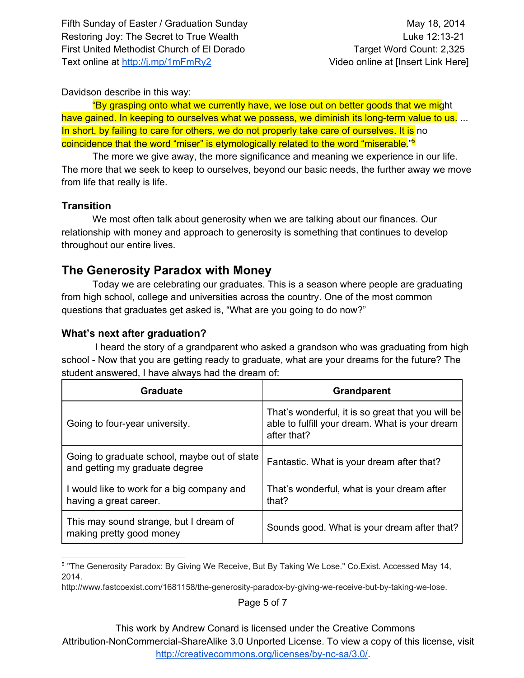#### Davidson describe in this way:

"By grasping onto what we currently have, we lose out on better goods that we might have gained. In keeping to ourselves what we possess, we diminish its long-term value to us. ... In short, by failing to care for others, we do not properly take care of ourselves. It is no coincidence that the word "miser" is etymologically related to the word "miserable."<sup>5</sup>

The more we give away, the more significance and meaning we experience in our life. The more that we seek to keep to ourselves, beyond our basic needs, the further away we move from life that really is life.

#### **Transition**

We most often talk about generosity when we are talking about our finances. Our relationship with money and approach to generosity is something that continues to develop throughout our entire lives.

# **The Generosity Paradox with Money**

Today we are celebrating our graduates. This is a season where people are graduating from high school, college and universities across the country. One of the most common questions that graduates get asked is, "What are you going to do now?"

#### **What's next after graduation?**

I heard the story of a grandparent who asked a grandson who was graduating from high school - Now that you are getting ready to graduate, what are your dreams for the future? The student answered, I have always had the dream of:

| Graduate                                                                       | <b>Grandparent</b>                                                                                                 |
|--------------------------------------------------------------------------------|--------------------------------------------------------------------------------------------------------------------|
| Going to four-year university.                                                 | That's wonderful, it is so great that you will be<br>able to fulfill your dream. What is your dream<br>after that? |
| Going to graduate school, maybe out of state<br>and getting my graduate degree | Fantastic. What is your dream after that?                                                                          |
| I would like to work for a big company and<br>having a great career.           | That's wonderful, what is your dream after<br>that?                                                                |
| This may sound strange, but I dream of<br>making pretty good money             | Sounds good. What is your dream after that?                                                                        |

<sup>&</sup>lt;sup>5</sup> "The Generosity Paradox: By Giving We Receive, But By Taking We Lose." Co.Exist. Accessed May 14, 2014.

Page 5 of 7

This work by Andrew Conard is licensed under the Creative Commons

Attribution-NonCommercial-ShareAlike 3.0 Unported License. To view a copy of this license, visit http://creativecommons.org/licenses/by-nc-sa/3.0/.

http://www.fastcoexist.com/1681158/the-generosity-paradox-by-giving-we-receive-but-by-taking-we-lose.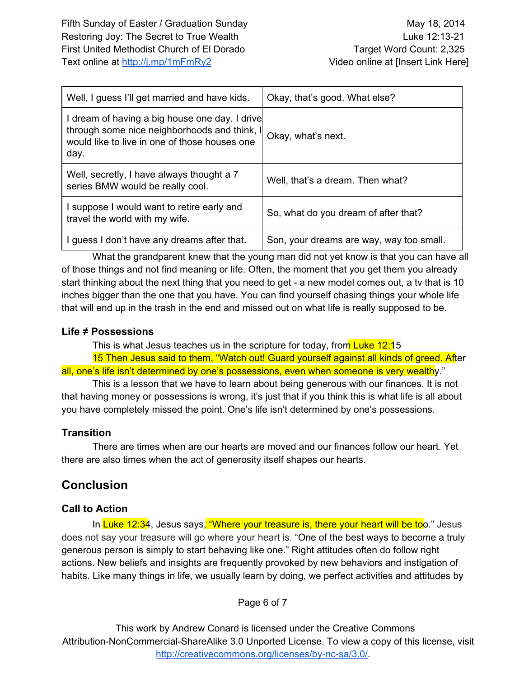| Well, I guess I'll get married and have kids.                                                                                                           | Okay, that's good. What else?            |
|---------------------------------------------------------------------------------------------------------------------------------------------------------|------------------------------------------|
| I dream of having a big house one day. I drive<br>through some nice neighborhoods and think, I<br>would like to live in one of those houses one<br>day. | Okay, what's next.                       |
| Well, secretly, I have always thought a 7<br>series BMW would be really cool.                                                                           | Well, that's a dream. Then what?         |
| suppose I would want to retire early and<br>travel the world with my wife.                                                                              | So, what do you dream of after that?     |
| I guess I don't have any dreams after that.                                                                                                             | Son, your dreams are way, way too small. |

What the grandparent knew that the young man did not yet know is that you can have all of those things and not find meaning or life. Often, the moment that you get them you already start thinking about the next thing that you need to get - a new model comes out, a tv that is 10 inches bigger than the one that you have. You can find yourself chasing things your whole life that will end up in the trash in the end and missed out on what life is really supposed to be.

#### **Life ≠ Possessions**

This is what Jesus teaches us in the scripture for today, from Luke 12:15 15 Then Jesus said to them, "Watch out! Guard yourself against all kinds of greed. After all, one's life isn't determined by one's possessions, even when someone is very wealthy."

This is a lesson that we have to learn about being generous with our finances. It is not that having money or possessions is wrong, it's just that if you think this is what life is all about you have completely missed the point. One's life isn't determined by one's possessions.

## **Transition**

There are times when are our hearts are moved and our finances follow our heart. Yet there are also times when the act of generosity itself shapes our hearts.

# **Conclusion**

## **Call to Action**

In Luke 12:34, Jesus says, "Where your treasure is, there your heart will be too." Jesus does not say your treasure will go where your heart is. "One of the best ways to become a truly generous person is simply to start behaving like one." Right attitudes often do follow right actions. New beliefs and insights are frequently provoked by new behaviors and instigation of habits. Like many things in life, we usually learn by doing, we perfect activities and attitudes by

Page 6 of 7